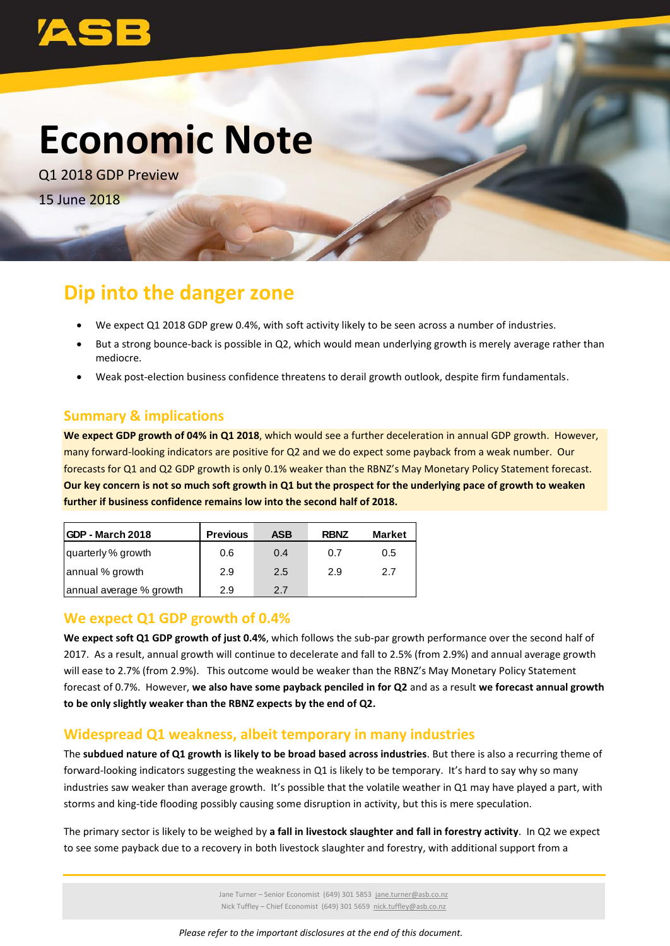# **Economic Note**

Q1 2018 GDP Preview 15 June 2018

## **Dip into the danger zone**

- We expect Q1 2018 GDP grew 0.4%, with soft activity likely to be seen across a number of industries.
- But a strong bounce-back is possible in Q2, which would mean underlying growth is merely average rather than mediocre.
- Weak post-election business confidence threatens to derail growth outlook, despite firm fundamentals.

### **Summary & implications**

**We expect GDP growth of 04% in Q1 2018**, which would see a further deceleration in annual GDP growth. However, many forward-looking indicators are positive for Q2 and we do expect some payback from a weak number. Our forecasts for Q1 and Q2 GDP growth is only 0.1% weaker than the RBNZ's May Monetary Policy Statement forecast. **Our key concern is not so much soft growth in Q1 but the prospect for the underlying pace of growth to weaken further if business confidence remains low into the second half of 2018.**

| <b>IGDP - March 2018</b> | <b>Previous</b> | <b>ASB</b> | <b>RBNZ</b> | <b>Market</b> |
|--------------------------|-----------------|------------|-------------|---------------|
| quarterly % growth       | 0.6             | 0.4        | 0.7         | 0.5           |
| annual % growth          | 2.9             | 2.5        | 2.9         | 2.7           |
| annual average % growth  | 2.9             | 2.7        |             |               |

### **We expect Q1 GDP growth of 0.4%**

**We expect soft Q1 GDP growth of just 0.4%**, which follows the sub-par growth performance over the second half of 2017. As a result, annual growth will continue to decelerate and fall to 2.5% (from 2.9%) and annual average growth will ease to 2.7% (from 2.9%). This outcome would be weaker than the RBNZ's May Monetary Policy Statement forecast of 0.7%. However, **we also have some payback penciled in for Q2** and as a result **we forecast annual growth to be only slightly weaker than the RBNZ expects by the end of Q2.** 

### **Widespread Q1 weakness, albeit temporary in many industries**

The **subdued nature of Q1 growth is likely to be broad based across industries**. But there is also a recurring theme of forward-looking indicators suggesting the weakness in Q1 is likely to be temporary. It's hard to say why so many industries saw weaker than average growth. It's possible that the volatile weather in Q1 may have played a part, with storms and king-tide flooding possibly causing some disruption in activity, but this is mere speculation.

The primary sector is likely to be weighed by **a fall in livestock slaughter and fall in forestry activity**. In Q2 we expect to see some payback due to a recovery in both livestock slaughter and forestry, with additional support from a

> Jane Turner – Senior Economist (649) 301 5853 [jane.turner@asb.co.nz](mailto:jane.turner@asb.co.nz) Nick Tuffley – Chief Economist (649) 301 5659 [nick.tuffley@asb.co.nz](mailto:mark.smith4@asb.co.nz)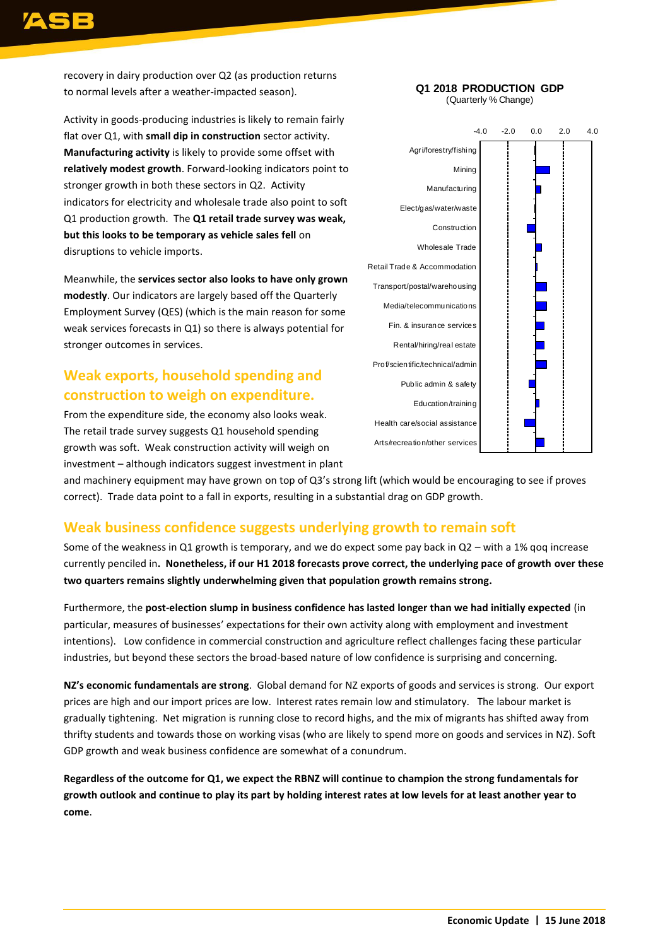recovery in dairy production over Q2 (as production returns to normal levels after a weather-impacted season).

Activity in goods-producing industries is likely to remain fairly flat over Q1, with **small dip in construction** sector activity. **Manufacturing activity** is likely to provide some offset with **relatively modest growth**. Forward-looking indicators point to stronger growth in both these sectors in Q2. Activity indicators for electricity and wholesale trade also point to soft Q1 production growth. The **Q1 retail trade survey was weak, but this looks to be temporary as vehicle sales fell** on disruptions to vehicle imports.

Meanwhile, the **services sector also looks to have only grown modestly**. Our indicators are largely based off the Quarterly Employment Survey (QES) (which is the main reason for some weak services forecasts in Q1) so there is always potential for stronger outcomes in services.

### **Weak exports, household spending and construction to weigh on expenditure.**

From the expenditure side, the economy also looks weak. The retail trade survey suggests Q1 household spending growth was soft. Weak construction activity will weigh on investment – although indicators suggest investment in plant

### -4.0 -2.0 0.0 2.0 4.0 Agri/forestry/fishing Mining Manufacturing Elect/gas/water/waste **Construction** Wholesale Trade Retail Trade & Accommodation Transport/postal/warehousing Media/telecommunications Fin. & insurance services Rental/hiring/real estate Prof/scientific/technical/admin Public admin & safety

**Q1 2018 PRODUCTION GDP** (Quarterly % Change)

### Education/training Health care/social assistance Arts/recreation/other services

and machinery equipment may have grown on top of Q3's strong lift (which would be encouraging to see if proves correct). Trade data point to a fall in exports, resulting in a substantial drag on GDP growth.

### **Weak business confidence suggests underlying growth to remain soft**

Some of the weakness in Q1 growth is temporary, and we do expect some pay back in Q2 – with a 1% qoq increase currently penciled in**. Nonetheless, if our H1 2018 forecasts prove correct, the underlying pace of growth over these two quarters remains slightly underwhelming given that population growth remains strong.** 

Furthermore, the **post-election slump in business confidence has lasted longer than we had initially expected** (in particular, measures of businesses' expectations for their own activity along with employment and investment intentions). Low confidence in commercial construction and agriculture reflect challenges facing these particular industries, but beyond these sectors the broad-based nature of low confidence is surprising and concerning.

**NZ's economic fundamentals are strong**. Global demand for NZ exports of goods and services is strong. Our export prices are high and our import prices are low. Interest rates remain low and stimulatory. The labour market is gradually tightening. Net migration is running close to record highs, and the mix of migrants has shifted away from thrifty students and towards those on working visas (who are likely to spend more on goods and services in NZ). Soft GDP growth and weak business confidence are somewhat of a conundrum.

**Regardless of the outcome for Q1, we expect the RBNZ will continue to champion the strong fundamentals for growth outlook and continue to play its part by holding interest rates at low levels for at least another year to come**.